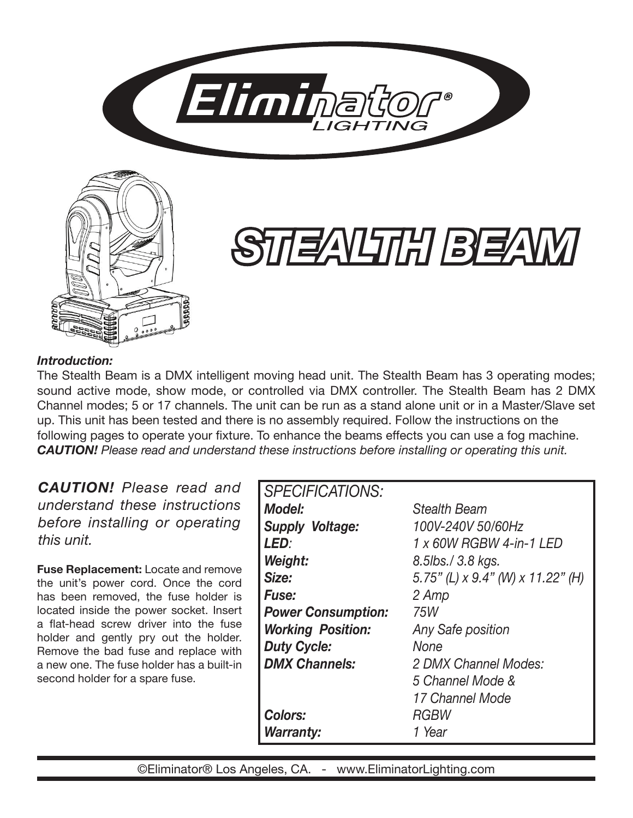



# *STEALTH BEAM*

#### *Introduction:*

The Stealth Beam is a DMX intelligent moving head unit. The Stealth Beam has 3 operating modes; sound active mode, show mode, or controlled via DMX controller. The Stealth Beam has 2 DMX Channel modes; 5 or 17 channels. The unit can be run as a stand alone unit or in a Master/Slave set up. This unit has been tested and there is no assembly required. Follow the instructions on the following pages to operate your fixture. To enhance the beams effects you can use a fog machine. *CAUTION! Please read and understand these instructions before installing or operating this unit.*

*CAUTION! Please read and understand these instructions before installing or operating this unit.*

**Fuse Replacement:** Locate and remove the unit's power cord. Once the cord has been removed, the fuse holder is located inside the power socket. Insert a flat-head screw driver into the fuse holder and gently pry out the holder. Remove the bad fuse and replace with a new one. The fuse holder has a built-in second holder for a spare fuse.

| <b>SPECIFICATIONS:</b>    |                                   |
|---------------------------|-----------------------------------|
| <b>Model:</b>             | <b>Stealth Beam</b>               |
| <b>Supply Voltage:</b>    | 100V-240V 50/60Hz                 |
| LED:                      | 1 x 60W RGBW 4-in-1 LED           |
| Weight:                   | 8.5lbs./ 3.8 kgs.                 |
| Size:                     | 5.75" (L) x 9.4" (W) x 11.22" (H) |
| <b>Fuse:</b>              | 2 Amp                             |
| <b>Power Consumption:</b> | 75W                               |
| <b>Working Position:</b>  | <b>Any Safe position</b>          |
| <b>Duty Cycle:</b>        | None                              |
| <b>DMX Channels:</b>      | 2 DMX Channel Modes:              |
|                           | 5 Channel Mode &                  |
|                           | 17 Channel Mode                   |
| <b>Colors:</b>            | <b>RGBW</b>                       |
| <b>Warranty:</b>          | 1 Year                            |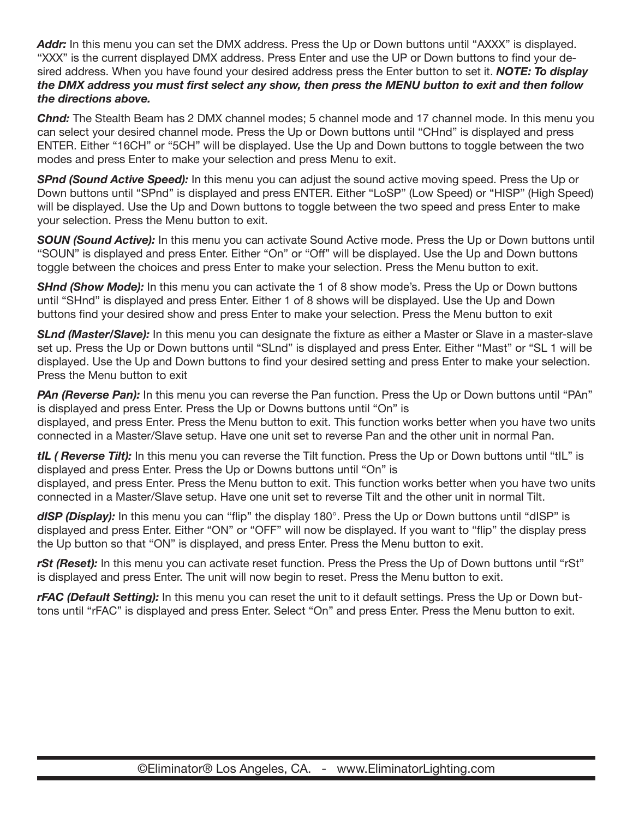*Addr:* In this menu you can set the DMX address. Press the Up or Down buttons until "AXXX" is displayed. "XXX" is the current displayed DMX address. Press Enter and use the UP or Down buttons to find your desired address. When you have found your desired address press the Enter button to set it. *NOTE: To display the DMX address you must first select any show, then press the MENU button to exit and then follow the directions above.*

*Chnd:* The Stealth Beam has 2 DMX channel modes; 5 channel mode and 17 channel mode. In this menu you can select your desired channel mode. Press the Up or Down buttons until "CHnd" is displayed and press ENTER. Either "16CH" or "5CH" will be displayed. Use the Up and Down buttons to toggle between the two modes and press Enter to make your selection and press Menu to exit.

*SPnd (Sound Active Speed):* In this menu you can adjust the sound active moving speed. Press the Up or Down buttons until "SPnd" is displayed and press ENTER. Either "LoSP" (Low Speed) or "HISP" (High Speed) will be displayed. Use the Up and Down buttons to toggle between the two speed and press Enter to make your selection. Press the Menu button to exit.

**SOUN (Sound Active):** In this menu you can activate Sound Active mode. Press the Up or Down buttons until "SOUN" is displayed and press Enter. Either "On" or "Off" will be displayed. Use the Up and Down buttons toggle between the choices and press Enter to make your selection. Press the Menu button to exit.

**SHnd (Show Mode):** In this menu you can activate the 1 of 8 show mode's. Press the Up or Down buttons until "SHnd" is displayed and press Enter. Either 1 of 8 shows will be displayed. Use the Up and Down buttons find your desired show and press Enter to make your selection. Press the Menu button to exit

*SLnd (Master/Slave):* In this menu you can designate the fixture as either a Master or Slave in a master-slave set up. Press the Up or Down buttons until "SLnd" is displayed and press Enter. Either "Mast" or "SL 1 will be displayed. Use the Up and Down buttons to find your desired setting and press Enter to make your selection. Press the Menu button to exit

**PAn (Reverse Pan):** In this menu you can reverse the Pan function. Press the Up or Down buttons until "PAn" is displayed and press Enter. Press the Up or Downs buttons until "On" is displayed, and press Enter. Press the Menu button to exit. This function works better when you have two units connected in a Master/Slave setup. Have one unit set to reverse Pan and the other unit in normal Pan.

*tIL ( Reverse Tilt):* In this menu you can reverse the Tilt function. Press the Up or Down buttons until "tIL" is displayed and press Enter. Press the Up or Downs buttons until "On" is

displayed, and press Enter. Press the Menu button to exit. This function works better when you have two units connected in a Master/Slave setup. Have one unit set to reverse Tilt and the other unit in normal Tilt.

dISP (Display): In this menu you can "flip" the display 180°. Press the Up or Down buttons until "dISP" is displayed and press Enter. Either "ON" or "OFF" will now be displayed. If you want to "flip" the display press the Up button so that "ON" is displayed, and press Enter. Press the Menu button to exit.

*rSt (Reset):* In this menu you can activate reset function. Press the Press the Up of Down buttons until "rSt" is displayed and press Enter. The unit will now begin to reset. Press the Menu button to exit.

*rFAC (Default Setting):* In this menu you can reset the unit to it default settings. Press the Up or Down buttons until "rFAC" is displayed and press Enter. Select "On" and press Enter. Press the Menu button to exit.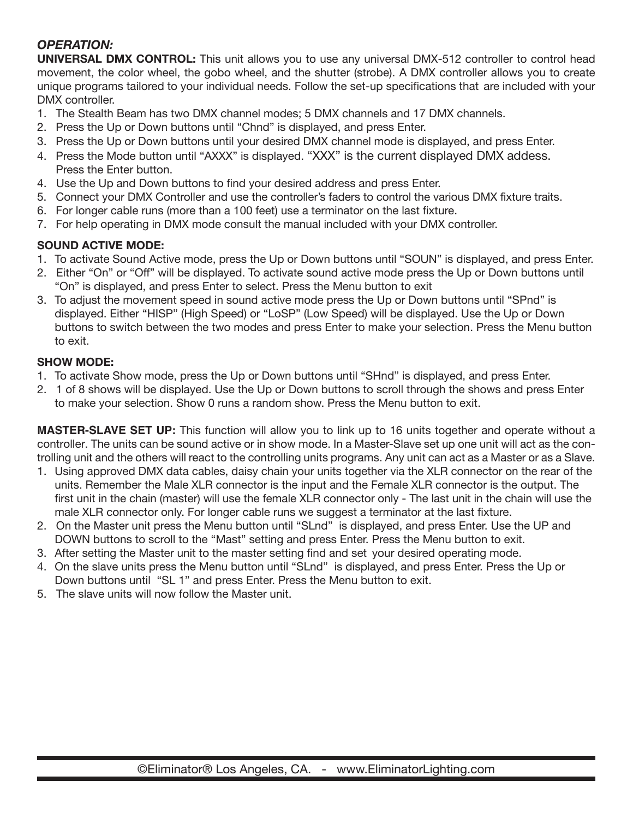#### *OPERATION:*

**UNIVERSAL DMX CONTROL:** This unit allows you to use any universal DMX-512 controller to control head movement, the color wheel, the gobo wheel, and the shutter (strobe). A DMX controller allows you to create unique programs tailored to your individual needs. Follow the set-up specifications that are included with your DMX controller.

- 1. The Stealth Beam has two DMX channel modes; 5 DMX channels and 17 DMX channels.
- 2. Press the Up or Down buttons until "Chnd" is displayed, and press Enter.
- 3. Press the Up or Down buttons until your desired DMX channel mode is displayed, and press Enter.
- 4. Press the Mode button until "AXXX" is displayed. "XXX" is the current displayed DMX addess. Press the Enter button.
- 4. Use the Up and Down buttons to find your desired address and press Enter.
- 5. Connect your DMX Controller and use the controller's faders to control the various DMX fixture traits.
- 6. For longer cable runs (more than a 100 feet) use a terminator on the last fixture.
- 7. For help operating in DMX mode consult the manual included with your DMX controller.

#### **SOUND ACTIVE MODE:**

- 1. To activate Sound Active mode, press the Up or Down buttons until "SOUN" is displayed, and press Enter.
- 2. Either "On" or "Off" will be displayed. To activate sound active mode press the Up or Down buttons until "On" is displayed, and press Enter to select. Press the Menu button to exit
- 3. To adjust the movement speed in sound active mode press the Up or Down buttons until "SPnd" is displayed. Either "HISP" (High Speed) or "LoSP" (Low Speed) will be displayed. Use the Up or Down buttons to switch between the two modes and press Enter to make your selection. Press the Menu button to exit.

#### **SHOW MODE:**

- 1. To activate Show mode, press the Up or Down buttons until "SHnd" is displayed, and press Enter.
- 2. 1 of 8 shows will be displayed. Use the Up or Down buttons to scroll through the shows and press Enter to make your selection. Show 0 runs a random show. Press the Menu button to exit.

**MASTER-SLAVE SET UP:** This function will allow you to link up to 16 units together and operate without a controller. The units can be sound active or in show mode. In a Master-Slave set up one unit will act as the controlling unit and the others will react to the controlling units programs. Any unit can act as a Master or as a Slave.

- 1. Using approved DMX data cables, daisy chain your units together via the XLR connector on the rear of the units. Remember the Male XLR connector is the input and the Female XLR connector is the output. The first unit in the chain (master) will use the female XLR connector only - The last unit in the chain will use the male XLR connector only. For longer cable runs we suggest a terminator at the last fixture.
- 2. On the Master unit press the Menu button until "SLnd" is displayed, and press Enter. Use the UP and DOWN buttons to scroll to the "Mast" setting and press Enter. Press the Menu button to exit.
- 3. After setting the Master unit to the master setting find and set your desired operating mode.
- 4. On the slave units press the Menu button until "SLnd" is displayed, and press Enter. Press the Up or Down buttons until "SL 1" and press Enter. Press the Menu button to exit.
- 5. The slave units will now follow the Master unit.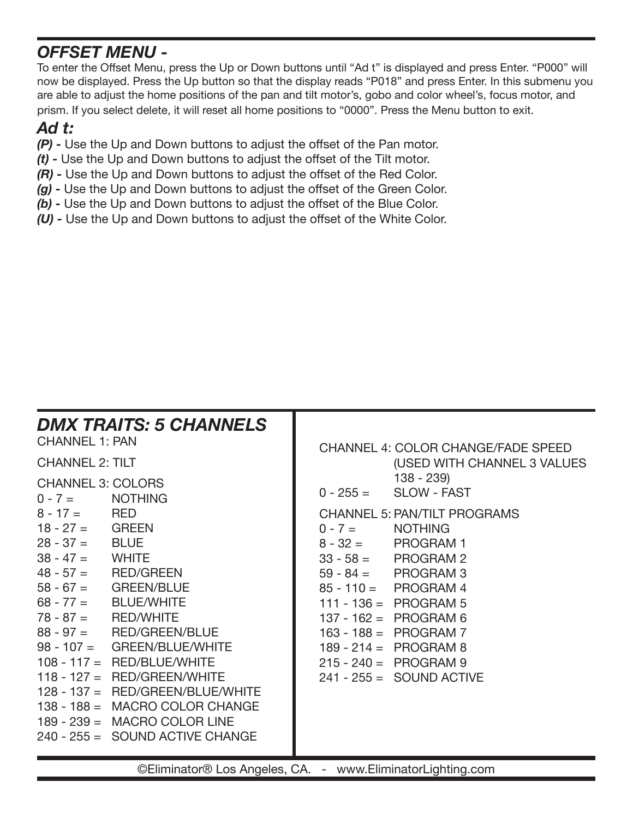## *OFFSET MENU -*

To enter the Offset Menu, press the Up or Down buttons until "Ad t" is displayed and press Enter. "P000" will now be displayed. Press the Up button so that the display reads "P018" and press Enter. In this submenu you are able to adjust the home positions of the pan and tilt motor's, gobo and color wheel's, focus motor, and prism. If you select delete, it will reset all home positions to "0000". Press the Menu button to exit.

### *Ad t:*

- *(P)* Use the Up and Down buttons to adjust the offset of the Pan motor.
- *(t)* Use the Up and Down buttons to adjust the offset of the Tilt motor.
- *(R)* Use the Up and Down buttons to adjust the offset of the Red Color.
- *(g)* Use the Up and Down buttons to adjust the offset of the Green Color.
- *(b)* Use the Up and Down buttons to adjust the offset of the Blue Color.
- *(U)* Use the Up and Down buttons to adjust the offset of the White Color.

| <b>CHANNEL 1: PAN</b><br><b>CHANNEL 2: TILT</b><br><b>CHANNEL 3: COLORS</b><br>$0 - 7 =$               | <b>DMX TRAITS: 5 CHANNELS</b><br><b>NOTHING</b>                                                                                                                                                                                                                                                                                                                                       |                         | <b>CHANNEL 4: COLOR CHANGE/FADE SPEED</b><br>(USED WITH CHANNEL 3 VALUES<br>$138 - 239$<br>$0 - 255 =$ SLOW - FAST                                                                                                                                                                                                |
|--------------------------------------------------------------------------------------------------------|---------------------------------------------------------------------------------------------------------------------------------------------------------------------------------------------------------------------------------------------------------------------------------------------------------------------------------------------------------------------------------------|-------------------------|-------------------------------------------------------------------------------------------------------------------------------------------------------------------------------------------------------------------------------------------------------------------------------------------------------------------|
| $8 - 17 =$ RED<br>$18 - 27 = $ GREEN<br>$28 - 37 =$ BLUE<br>$38 - 47 =$ WHITE<br>$78 - 87 =$ RED/WHITE | $48 - 57 =$ RED/GREEN<br>$58 - 67 = \text{GREEN/BLE}$<br>$68 - 77 = \text{BLE/WHITE}$<br>$88 - 97 = RED/GREEN/BLUE$<br>$98 - 107 = \text{GREEN/BLUE/WHITE}$<br>$108 - 117 = \text{RED/BLUE/WHITE}$<br>$118 - 127 =$ RED/GREEN/WHITE<br>$128 - 137 = \text{RED/GREEN/BLUE/WHITE}$<br>138 - 188 = MACRO COLOR CHANGE<br>189 - 239 = MACRO COLOR LINE<br>240 - 255 = SOUND ACTIVE CHANGE | $0 - 7 =$<br>$8 - 32 =$ | <b>CHANNEL 5: PAN/TILT PROGRAMS</b><br><b>NOTHING</b><br>PROGRAM 1<br>$33 - 58 = PROGRAM 2$<br>$59 - 84 = PROGRAM$ 3<br>$85 - 110 = PROGRAM 4$<br>111 - 136 = PROGRAM 5<br>$137 - 162 = PROGRAM 6$<br>$163 - 188 = PROGRAM$ 7<br>$189 - 214 = PROGRAM 8$<br>$215 - 240 = PROGRAM 9$<br>$241 - 255 =$ SOUND ACTIVE |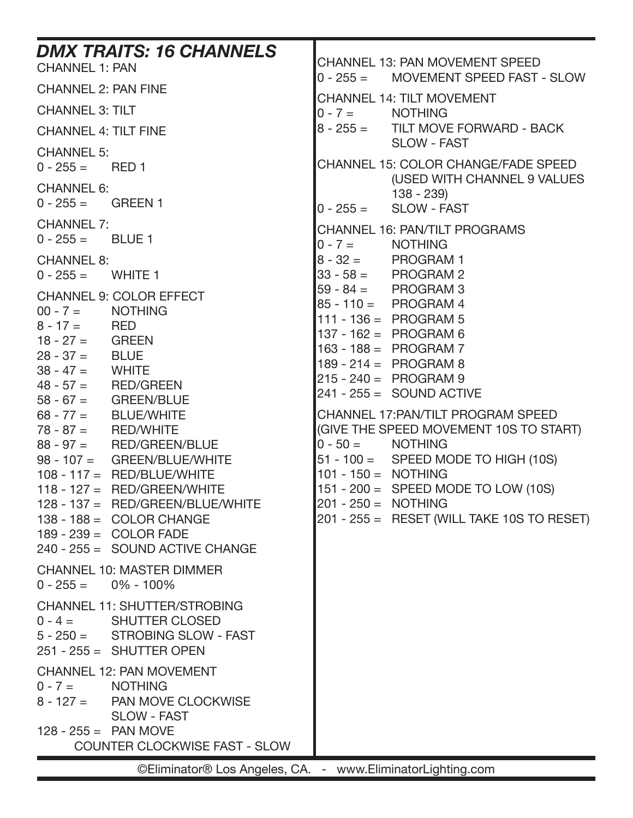| <b>DMX TRAITS: 16 CHANNELS</b><br><b>CHANNEL 1: PAN</b>                                                                                                                                                                                                                                                                                                                                                                                                                                                                                  | CHANNEL 13: PAN MOVEMENT SPEED<br>$0 - 255 =$<br><b>MOVEMENT SPEED FAST - SLOW</b>                                                                                                                                                                                                                                                                                                                                                                                                                                 |
|------------------------------------------------------------------------------------------------------------------------------------------------------------------------------------------------------------------------------------------------------------------------------------------------------------------------------------------------------------------------------------------------------------------------------------------------------------------------------------------------------------------------------------------|--------------------------------------------------------------------------------------------------------------------------------------------------------------------------------------------------------------------------------------------------------------------------------------------------------------------------------------------------------------------------------------------------------------------------------------------------------------------------------------------------------------------|
| <b>CHANNEL 2: PAN FINE</b>                                                                                                                                                                                                                                                                                                                                                                                                                                                                                                               | <b>CHANNEL 14: TILT MOVEMENT</b>                                                                                                                                                                                                                                                                                                                                                                                                                                                                                   |
| <b>CHANNEL 3: TILT</b>                                                                                                                                                                                                                                                                                                                                                                                                                                                                                                                   | $0 - 7 = \text{NOTHING}$                                                                                                                                                                                                                                                                                                                                                                                                                                                                                           |
| <b>CHANNEL 4: TILT FINE</b>                                                                                                                                                                                                                                                                                                                                                                                                                                                                                                              | 8 - 255 = TILT MOVE FORWARD - BACK                                                                                                                                                                                                                                                                                                                                                                                                                                                                                 |
| <b>CHANNEL 5:</b><br>$0 - 255 =$<br>RED 1                                                                                                                                                                                                                                                                                                                                                                                                                                                                                                | <b>SLOW - FAST</b><br><b>CHANNEL 15: COLOR CHANGE/FADE SPEED</b>                                                                                                                                                                                                                                                                                                                                                                                                                                                   |
| <b>CHANNEL 6:</b><br>$0 - 255 =$<br><b>GREEN 1</b>                                                                                                                                                                                                                                                                                                                                                                                                                                                                                       | (USED WITH CHANNEL 9 VALUES<br>$138 - 239$<br><b>SLOW - FAST</b><br>$ 0 - 255 =$                                                                                                                                                                                                                                                                                                                                                                                                                                   |
| <b>CHANNEL 7:</b><br>$0 - 255 =$<br>BLUE 1                                                                                                                                                                                                                                                                                                                                                                                                                                                                                               | <b>CHANNEL 16: PAN/TILT PROGRAMS</b><br>$0 - 7 = \text{NOTHING}$                                                                                                                                                                                                                                                                                                                                                                                                                                                   |
| <b>CHANNEL 8:</b><br><b>WHITE 1</b><br>$0 - 255 =$                                                                                                                                                                                                                                                                                                                                                                                                                                                                                       | $8 - 32 =$ PROGRAM 1<br>$33 - 58 =$ PROGRAM 2                                                                                                                                                                                                                                                                                                                                                                                                                                                                      |
| <b>CHANNEL 9: COLOR EFFECT</b><br>$00 - 7 = \text{NOTHING}$<br>$8 - 17 =$ RED<br>$18 - 27 = $ GREEN<br>$28 - 37 =$ BLUE<br>$38 - 47 =$<br><b>WHITE</b><br>$48 - 57 =$ RED/GREEN<br>$58 - 67 =$ GREEN/BLUE<br>$68 - 77 = \text{BLE/WHITE}$<br>$78 - 87 =$ RED/WHITE<br>$88 - 97 =$ RED/GREEN/BLUE<br>98 - 107 = GREEN/BLUE/WHITE<br>$108 - 117 = \text{RED/BLUE/WHITE}$<br>$118 - 127 =$ RED/GREEN/WHITE<br>128 - 137 = RED/GREEN/BLUE/WHITE<br>$138 - 188 = COLOR CHANGE$<br>$189 - 239 = COLOR FADE$<br>240 - 255 = SOUND ACTIVE CHANGE | $59 - 84 = PROGRAM 3$<br>85 - 110 = PROGRAM 4<br>$111 - 136 = PROGRAM 5$<br>$137 - 162 = PROGRAM 6$<br>$163 - 188 = PROGRAM 7$<br>$189 - 214 = PROGRAM 8$<br>$215 - 240 = PROGRAM 9$<br>$241 - 255 =$ SOUND ACTIVE<br>CHANNEL 17: PAN/TILT PROGRAM SPEED<br>(GIVE THE SPEED MOVEMENT 10S TO START)<br>$0 - 50 =$<br><b>NOTHING</b><br>$51 - 100 =$ SPEED MODE TO HIGH (10S)<br>$101 - 150 = NOTHING$<br>151 - 200 = SPEED MODE TO LOW (10S)<br>201 - 250 = NOTHING<br>$201 - 255 =$ RESET (WILL TAKE 10S TO RESET) |
| <b>CHANNEL 10: MASTER DIMMER</b><br>$0 - 255 =$<br>$0\% - 100\%$                                                                                                                                                                                                                                                                                                                                                                                                                                                                         |                                                                                                                                                                                                                                                                                                                                                                                                                                                                                                                    |
| <b>CHANNEL 11: SHUTTER/STROBING</b><br><b>SHUTTER CLOSED</b><br>$0 - 4 =$<br>$5 - 250 =$ STROBING SLOW - FAST<br>$251 - 255 =$ SHUTTER OPEN                                                                                                                                                                                                                                                                                                                                                                                              |                                                                                                                                                                                                                                                                                                                                                                                                                                                                                                                    |
| <b>CHANNEL 12: PAN MOVEMENT</b><br>$0 - 7 =$<br><b>NOTHING</b><br>$8 - 127 =$<br>PAN MOVE CLOCKWISE<br><b>SLOW - FAST</b><br>$128 - 255 =$ PAN MOVE                                                                                                                                                                                                                                                                                                                                                                                      |                                                                                                                                                                                                                                                                                                                                                                                                                                                                                                                    |
| <b>COUNTER CLOCKWISE FAST - SLOW</b>                                                                                                                                                                                                                                                                                                                                                                                                                                                                                                     |                                                                                                                                                                                                                                                                                                                                                                                                                                                                                                                    |
| ©Eliminator® Los Angeles, CA. - www.EliminatorLighting.com                                                                                                                                                                                                                                                                                                                                                                                                                                                                               |                                                                                                                                                                                                                                                                                                                                                                                                                                                                                                                    |